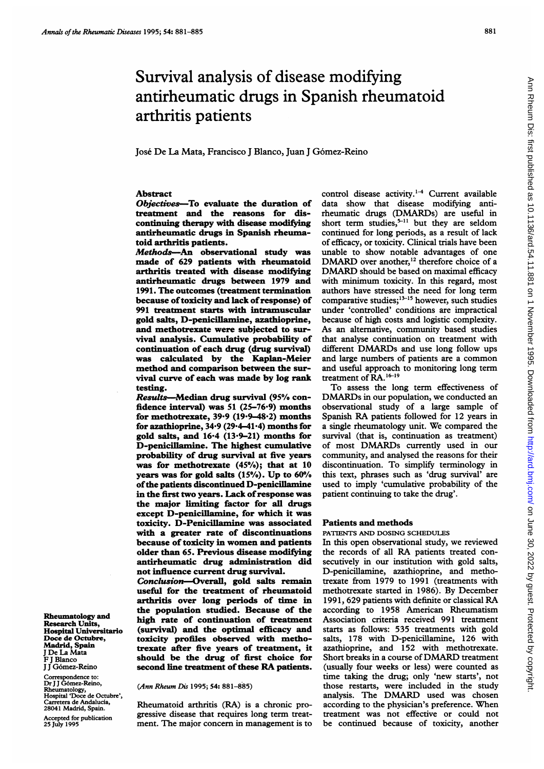# Survival analysis of disease modifying antirheumatic drugs in Spanish rheumatoid arthritis patients

José De La Mata, Francisco J Blanco, Juan J Gómez-Reino

## Abstract

Objectives-To evaluate the duration of treatment and the reasons for discontinuing therapy with disease modifying antirheumatic drugs in Spanish rheumatoid arthritis patients.

Methods-An observational study was made of 629 patients with rheumatoid arthritis treated with disease modifying antirheumatic drugs between 1979 and 1991. The outcomes (treatment termination because of toxicity and lack of response) of 991 treatment starts with intramuscular gold salts, D-penicillamine, azathioprine, and methotrexate were subjected to survival analysis. Cumulative probability of continuation of each drug (drug survival) was calculated by the Kaplan-Meier method and comparison between the survival curve of each was made by log rank testing.

Results-Median drug survival (95% confidence interval) was 51 (25-76.9) months for methotrexate,  $39.9$  ( $19.9-48.2$ ) months for azathioprine, 34\*9 (29.4-41.4) months for gold salts, and 16-4 (13-9-21) months for D-penicillamine. The highest cumulative probability of drug survival at five years was for methotrexate  $(45%)$ ; that at 10 years was for gold salts  $(15%)$ . Up to  $60%$ of the patients discontinued D-penicillamine in the first two years. Lack of response was the major limiting factor for all drugs except D-penicillamine, for which it was toxicity. D-Penicillamine was associated with a greater rate of discontinuations because of toxicity in women and patients older than 65. Previous disease modifying antirheumatic drug administration did not influence current drug survival.

Conclusion-Overall, gold salts remain useful for the treatment of rheumatoid arthritis over long periods of time in the population studied. Because of the high rate of continuation of treatment (survival) and the optimal efficacy and toxicity profiles observed with methotrexate after five years of treatment, it should be the drug of first choice for second line treatment of these RA patients.

F J Blanco I I Gómez-Reino Correspondence to: Dr <sup>J</sup> <sup>J</sup> G6mez-Reino,

Rheumatology and Research Units, Hospital Universitario Doce de Octubre, Madrid, Spain <sup>J</sup> De La Mata

Rheumatology, Hospital 'Doce de Octubre', etera de Andalucía, 28041 Madrid, Spain.

Accepted for publication 25 July 1995

(Ann Rheum Dis 1995; 54: 881-885)

Rheumatoid arthritis (RA) is a chronic progressive disease that requires long term treatment. The major concern in management is to

control disease activity.<sup>1-4</sup> Current available data show that disease modifying antirheumatic drugs (DMARDs) are useful in short term studies, $5-11$  but they are seldom continued for long periods, as a result of lack of efficacy, or toxicity. Clinical trials have been unable to show notable advantages of one DMARD over another,<sup>12</sup> therefore choice of a DMARD should be based on maximal efficacy with minimum toxicity. In this regard, most authors have stressed the need for long term comparative studies; $13-15$  however, such studies under 'controlled' conditions are impractical because of high costs and logistic complexity. As an alternative, community based studies that analyse continuation on treatment with different DMARDs and use long follow ups and large numbers of patients are <sup>a</sup> common and useful approach to monitoring long term treatment of RA.<sup>16-19</sup>

To assess the long term effectiveness of DMARDs in our population, we conducted an observational study of a large sample of Spanish RA patients followed for <sup>12</sup> years in <sup>a</sup> single rheumatology unit. We compared the survival (that is, continuation as treatment) of most DMARDs currently used in our community, and analysed the reasons for their discontinuation. To simplify terminology in this text, phrases such as 'drug survival' are used to imply 'cumulative probability of the patient continuing to take the drug'.

#### Patients and methods

PATIENTS AND DOSING SCHEDULES

In this open observational study, we reviewed the records of all RA patients treated consecutively in our institution with gold salts, D-penicillamine, azathioprine, and methotrexate from 1979 to 1991 (treatments with methotrexate started in 1986). By December 1991, 629 patients with definite or classical RA according to 1958 American Rheumatism Association criteria received 991 treatment starts as follows: 535 treatments with gold salts, 178 with D-penicillamine, 126 with azathioprine, and 152 with methotrexate. Short breaks in <sup>a</sup> course of DMARD treatment (usually four weeks or less) were counted as time taking the drug; only 'new starts', not those restarts, were included in the study analysis. The DMARD used was chosen according to the physician's preference. When treatment was not effective or could not be continued because of toxicity, another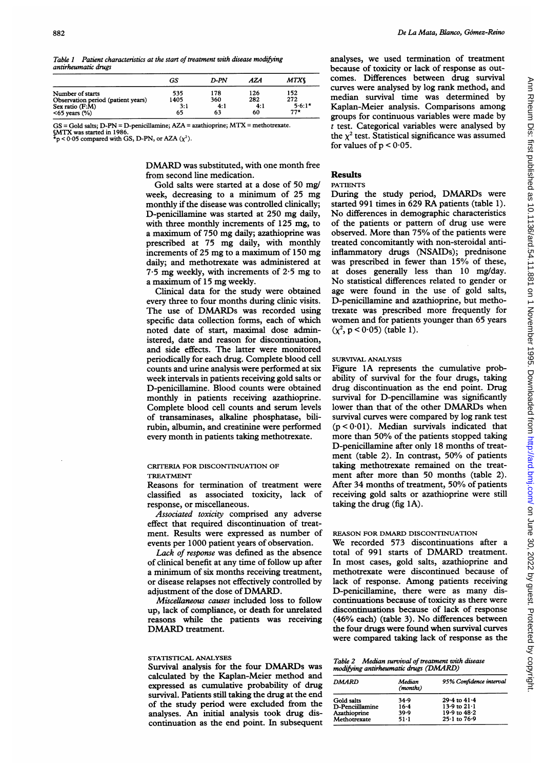Table 1 Patient characteristics at the start of treatment with disease modifying antirheumatic drugs

|                                    | GS   | D-PN | AZA | <b>MTXS</b> |
|------------------------------------|------|------|-----|-------------|
| Number of starts                   | 535  | 178  | 126 | 152         |
| Observation period (patient years) | 1405 | 360  | 282 | 272         |
| Sex ratio (F:M)                    | 3:1  | 4:1  | 4:1 | $5.6:1*$    |
| $<65$ years $(\% )$                | 65   | 63   | 60  | $77*$       |

GS <sup>=</sup> Gold salts; D-PN <sup>=</sup> D-penicillamine; AZA <sup>=</sup> azathioprine; MTX <sup>=</sup> methotrexate. §MTX was started in 1986

 $x<sub>p</sub> < 0.05$  compared with GS, D-PN, or AZA  $(\chi^2)$ .

DMARD was substituted, with one month free from second line medication.

Gold salts were started at a dose of 50 mg/ week, decreasing to <sup>a</sup> minimum of 25 mg monthly if the disease was controlled clinically; D-penicillamine was started at 250 mg daily, with three monthly increments of 125 mg, to <sup>a</sup> maximum of 750 mg daily; azathioprine was prescribed at 75 mg daily, with monthly increments of 25 mg to <sup>a</sup> maximum of 150 mg daily; and methotrexate was administered at  $7.5$  mg weekly, with increments of  $2.5$  mg to <sup>a</sup> maximum of <sup>15</sup> mg weekly.

Clinical data for the study were obtained every three to four months during clinic visits. The use of DMARDs was recorded using specific data collection forms, each of which noted date of start, maximal dose administered, date and reason for discontinuation, and side effects. The latter were monitored periodically for each drug. Complete blood cell counts and urine analysis were performed at six week intervals in patients receiving gold salts or D-penicillamine. Blood counts were obtained monthly in patients receiving azathioprine. Complete blood cell counts and serum levels of transaminases, alkaline phosphatase, bilirubin, albumin, and creatinine were performed every month in patients taking methotrexate.

#### CRITERIA FOR DISCONTINUATION OF TREATMENT

Reasons for termination of treatment were classified as associated toxicity, lack of response, or miscellaneous.

Associated toxicity comprised any adverse effect that required discontinuation of treatment. Results were expressed as number of events per 1000 patient years of observation.

Lack of response was defined as the absence of clinical benefit at any time of follow up after a minimum of six months receiving treatment, or disease relapses not effectively controlled by adjustment of the dose of DMARD.

Miscellaneous causes included loss to follow up, lack of compliance, or death for unrelated reasons while the patients was receiving DMARD treatment.

#### STATISTICAL ANALYSES

Survival analysis for the four DMARDs was calculated by the Kaplan-Meier method and expressed as cumulative probability of drug survival. Patients still taking the drug at the end of the study period were excluded from the analyses. An initial analysis took drug discontinuation as the end point. In subsequent analyses, we used termination of treatment because of toxicity or lack of response as outcomes. Differences between drug survival curves were analysed by log rank method, and median survival time was determined by Kaplan-Meier analysis. Comparisons among groups for continuous variables were made by  $t$  test. Categorical variables were analysed by the  $\chi^2$  test. Statistical significance was assumed for values of  $p < 0.05$ .

### Results

#### PATIENTS

During the study period, DMARDs were started <sup>991</sup> times in 629 RA patients (table 1). No differences in demographic characteristics of the patients or pattern of drug use were observed. More than 75% of the patients were treated concomitantly with non-steroidal antiinflammatory drugs (NSAIDs); prednisone was prescribed in fewer than 15% of these, at doses generally less than 10 mg/day. No statistical differences related to gender or age were found in the use of gold salts, D-penicillamine and azathioprine, but methotrexate was prescribed more frequently for women and for patients younger than 65 years  $(x^2, p < 0.05)$  (table 1).

#### SURVIVAL ANALYSIS

Figure 1A represents the cumulative probability of survival for the four drugs, taking drug discontinuation as the end point. Drug survival for D-pencillamine was significantly lower than that of the other DMARDs when survival curves were compared by log rank test  $(p < 0.01)$ . Median survivals indicated that more than 50% of the patients stopped taking D-penicillamine after only 18 months of treatment (table 2). In contrast, 50% of patients taking methotrexate remained on the treatment after more than 50 months (table 2). After 34 months of treatment, 50% of patients receiving gold salts or azathioprine were still taking the drug (fig lA).

# REASON FOR DMARD DISCONTINUATION

We recorded 573 discontinuations after <sup>a</sup> total of <sup>991</sup> starts of DMARD treatment. In most cases, gold salts, azathioprine and methotrexate were discontinued because of lack of response. Among patients receiving D-penicillamine, there were as many discontinuations because of toxicity as there were discontinuations because of lack of response (46% each) (table 3). No differences between the four drugs were found when survival curves were compared taking lack of response as the

| Table 2 Median survival of treatment with disease |
|---------------------------------------------------|
| modifying antirheumatic drugs (DMARD)             |

| <b>DMARD</b>    | Median<br>(months) | 95% Confidence interval |  |  |
|-----------------|--------------------|-------------------------|--|--|
| Gold salts      | 34.9               | $29.4$ to $41.4$        |  |  |
| D-Penciillamine | $16 - 4$           | 13.9 to $21.1$          |  |  |
| Azathioprine    | 39.9               | 19.9 to 48.2            |  |  |
| Methotrexate    | 51-1               | $25.1 \text{ to } 76.9$ |  |  |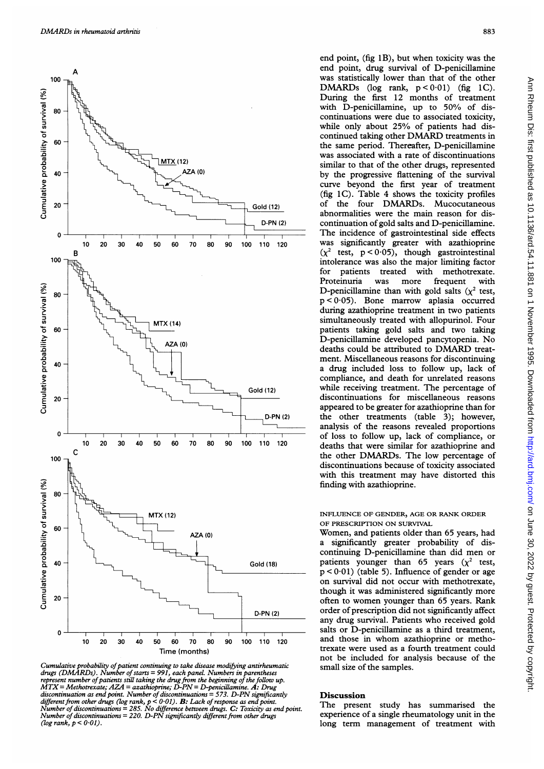

Cumulative probability of patient continuing to take disease modifying antirheumatic small size of the samples. drugs (DMARDs). Number of starts = 991, each panel. Numbers in parentheses<br>represent number of patients still taking the drug from the beginning of the follow up.<br>MTX = Methotrexate; AZA = azathioprine; D-PN = D-penicillam different from other drugs (log rank, p < 0.01). B: Lack of response as end point.<br>Number of discontinuations = 285. No difference between drugs. C: Toxicity as end point. The present study has summarised the Number of discontinuations = 220. D-PN significantly different from other drugs experience of a single rheumatology unit in the (log rank,  $p < 0.01$ ).  $log r = \frac{1}{2}$ ,  $log r = \frac{1}{2}$  long term management of treatment with

end point, (fig 1B), but when toxicity was the end point, drug survival of D-penicillamine During the first 12 months of treatment continuations were due to associated toxicity,<br>while only about 25% of patients had diswas associated with a rate of discontinuations  $MTX$ (12)<br>AZA(0) similar to that of the other drugs, represented<br>by the other drugs, represented curve beyond the first year of treatment (fig 1C). Table 4 shows the toxicity profiles abnormalities were the main reason for dis-D-PN (2) continuation of gold salts and D-penicillamine. for patients treated with methotrexate.<br>Proteinuria was more frequent with Proteinuria was more frequent with  $p < 0.05$ ). Bone marrow aplasia occurred during azathioprine treatment in two patients<br>simultaneously treated with allopurinol. Four patients taking gold salts and two taking MTX (14)<br>
MTX (14)<br>
Letter and the particle parameter and the particle parameter and two taking<br>
D-penicillamine developed pancytopenia. No<br>
deaths could be attributed to DMARD treat-D-penicillamine developed pancytopenia. No deaths could be attributed to DMARD treatment. Miscellaneous reasons for discontinuing compliance, and death for unrelated reasons Gold (12) while receiving treatment. The percentage of appeared to be greater for azathioprine than for<br>
<u>D-PN (2)</u> the other treatments (table 3); however,<br>
the other treatments (table 3); however, analysis of the reasons revealed proportions of loss to follow up, lack of compliance, or discontinuations because of toxicity associated with this treatment may have distorted this finding with azathioprine. was Statistically noted that the control of the Valic Chinamia and the momentum of the momentum of the momentum of the momentum of the momentum of the momentum of the momentum of the contract of dis-<br>contraction of the co

 $p < 0.01$ ) (table 5). Influence of gender or age on survival did not occur with methotrexate, though it was administered significantly more D-PN (2) order of prescription did not significantly affect any drug survival. Patients who received gold Time (months) trexate were used as a fourth treatment could not be included for analysis because of the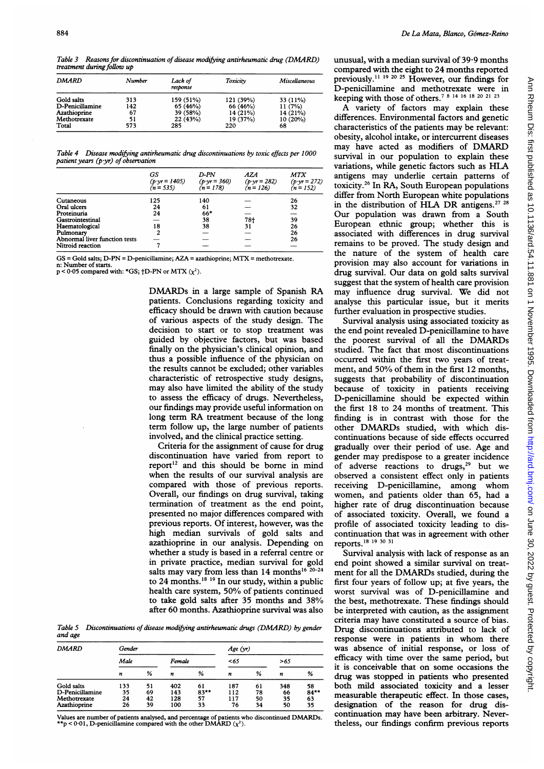Table 3 Reasons for discontinuation of disease modifying antirheumatic drug (DMARD) treatment during follow up

| DMARD           | Number | Lack of<br>response | Toxicity  | Miscellaneous |  |
|-----------------|--------|---------------------|-----------|---------------|--|
| Gold salts      | 313    | 159 (51%)           | 121 (39%) | 33 (11%)      |  |
| D-Penicillamine | 142    | 65 (46%)            | 66 (46%)  | 11(7%)        |  |
| Azathioprine    | 67     | 39 (58%)            | 14 (21%)  | 14 (21%)      |  |
| Methotrexate    | 51     | 22(43%)             | 19 (37%)  | $10(20\%)$    |  |
| Total           | 573    | 285                 | 220       | 68            |  |

Table 4 Disease modifying antirheumatic drug discontinuations by toxic effects per 1000 patient years ( $p \cdot yr$ ) of observation

|                               | GS<br>$(p \cdot yr = 1405)$<br>$(n = 535)$ | D-PN<br>$(p \cdot yr = 360)$<br>$(n = 178)$ | AZA<br>$(p \cdot yr = 282)$<br>$(n = 126)$ | <b>MTX</b><br>$(p \cdot yr = 272)$<br>$(n = 152)$ |
|-------------------------------|--------------------------------------------|---------------------------------------------|--------------------------------------------|---------------------------------------------------|
| Cutaneous                     | 125                                        | 140                                         |                                            | 26                                                |
| Oral ulcers                   | 24                                         | 61                                          |                                            | 32                                                |
| Proteinuria                   | 24                                         | $66*$                                       |                                            |                                                   |
| Gastrointestinal              |                                            | 38                                          | $78+$                                      | 39                                                |
| Haematological                | 18                                         | 38                                          | 31                                         | 26                                                |
| Pulmonary                     | 2                                          |                                             |                                            | 26                                                |
| Abnormal liver function tests |                                            |                                             |                                            | 26                                                |
| Nitroid reaction              |                                            |                                             |                                            |                                                   |

GS <sup>=</sup> Gold salts; D-PN <sup>=</sup> D-penicillamine; AZA <sup>=</sup> azathioprine; MTX <sup>=</sup> methotrexate. n: Number of start

 $p < 0.05$  compared with: \*GS;  $\uparrow$ D-PN or MTX  $(\chi^2)$ .

DMARDs in <sup>a</sup> large sample of Spanish RA patients. Conclusions regarding toxicity and efficacy should be drawn with caution because of various aspects of the study design. The decision to start or to stop treatment was guided by objective factors, but was based finally on the physician's clinical opinion, and thus a possible influence of the physician on the results cannot be excluded; other variables characteristic of retrospective study designs, may also have limited the ability of the study to assess the efficacy of drugs. Nevertheless, our findings may provide useful information on long term RA treatment because of the long term follow up, the large number of patients involved, and the clinical practice setting.

Criteria for the assignment of cause for drug discontinuation have varied from report to report<sup>12</sup> and this should be borne in mind when the results of our survival analysis are compared with those of previous reports. Overall, our findings on drug survival, taking termination of treatment as the end point, presented no major differences compared with previous reports. Of interest, however, was the high median survivals of gold salts and azathioprine in our analysis. Depending on whether a study is based in a referral centre or in private practice, median survival for gold salts may vary from less than  $14$  months<sup>16 20-24</sup> to 24 months.<sup>18</sup> <sup>19</sup> In our study, within a public health care system, 50% of patients continued to take gold salts after 35 months and 38% after 60 months. Azathioprine survival was also

Table S Discontinuations of disease modifying antirheumatic drugs (DMARD) by gender and age

| <b>DMARD</b>                                                  | Gender                |                      |                          |                           | Age (yr)                |                      |                       |                           |
|---------------------------------------------------------------|-----------------------|----------------------|--------------------------|---------------------------|-------------------------|----------------------|-----------------------|---------------------------|
|                                                               | Male                  |                      | Female                   |                           | < 65                    |                      | >65                   |                           |
|                                                               | n                     | %                    | n                        | %                         | n                       | %                    | n                     | %                         |
| Gold salts<br>D-Penicillamine<br>Methotrexate<br>Azathioprine | 133<br>35<br>24<br>26 | 51<br>69<br>42<br>39 | 402<br>143<br>128<br>100 | 61<br>$83***$<br>57<br>33 | 187<br>112<br>117<br>76 | 61<br>78<br>50<br>34 | 348<br>66<br>35<br>50 | 58<br>$84***$<br>63<br>35 |

Values are number of patients analysed, and percentage of patients who discontinued DMARDs.<br>\*\*p < 0-01, D-penicillamine compared with the other DMARD ( $\chi^2$ ).

unusual, with a median survival of 39-9 months compared with the eight to 24 months reported previously. l19 <sup>20</sup> <sup>25</sup> However, our findings for D-penicillamine and methotrexate were in keeping with those of others.7 <sup>8</sup> 14 16 <sup>18</sup> <sup>20</sup> <sup>21</sup> <sup>23</sup>

A variety of factors may explain these differences. Environmental factors and genetic characteristics of the patients may be relevant: obesity, alcohol intake, or intercurrent diseases may have acted as modifiers of DMARD survival in our population to explain these variations, while genetic factors such as HLA antigens may underlie certain patterns of toxicity.26 In RA, South European populations differ from North European white populations in the distribution of HLA DR antigens.<sup>27</sup> <sup>28</sup> Our population was drawn from a South European ethnic group; whether this is associated with differences in drug survival remains to be proved. The study design and the nature of the system of health care provision may also account for variations in drug survival. Our data on gold salts survival suggest that the system of health care provision may influence drug survival. We did not analyse this particular issue, but it merits further evaluation in prospective studies.

Survival analysis using associated toxicity as the end point revealed D-penicillamine to have the poorest survival of all the DMARDs studied. The fact that most discontinuations occurred within the first two years of treatment, and 50% of them in the first 12 months, suggests that probability of discontinuation because of toxicity in patients receiving D-penicillamine should be expected within the first 18 to 24 months of treatment. This finding is in contrast with those for the other DMARDs studied, with which discontinuations because of side effects occurred gradually over their period of use. Age and gender may predispose to <sup>a</sup> greater incidence of adverse reactions to  $\text{drugs},^{29}$  but we observed a consistent effect only in patients receiving D-penicillamine, among whom women, and patients older than 65, had a higher rate of drug discontinuation because of associated toxicity. Overall, we found a profile of associated toxicity leading to discontinuation that was in agreement with other reports.'8 <sup>19</sup> <sup>30</sup> <sup>31</sup>

Survival analysis with lack of response as an end point showed a similar survival on treatment for all the DMARDs studied, during the first four years of follow up; at five years, the worst survival was of D-penicillamine and the best, methotrexate. These findings should be interpreted with caution, as the assignment criteria may have constituted <sup>a</sup> source of bias. Drug discontinuations attributed to lack of response were in patients in whom there was absence of initial response, or loss of efficacy with time over the same period, but it is conceivable that on some occasions the drug was stopped in patients who presented both mild associated toxicity and a lesser measurable therapeutic effect. In those cases, designation of the reason for drug discontinuation may have been arbitrary. Nevertheless, our findings confirm previous reports